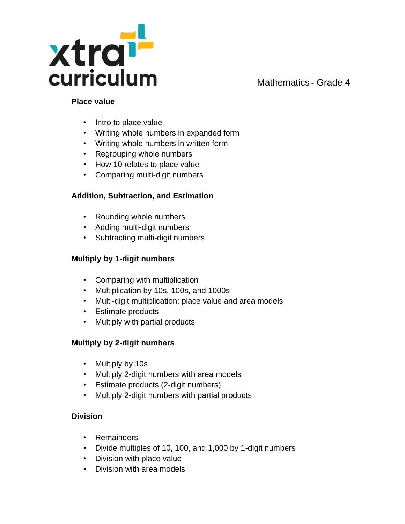

#### **Place value**

- Intro to place value
- Writing whole numbers in expanded form
- Writing whole numbers in written form
- Regrouping whole numbers
- How 10 relates to place value
- Comparing multi-digit numbers

#### **Addition, Subtraction, and Estimation**

- Rounding whole numbers
- Adding multi-digit numbers
- Subtracting multi-digit numbers

#### **Multiply by 1-digit numbers**

- Comparing with multiplication
- Multiplication by 10s, 100s, and 1000s
- Multi-digit multiplication: place value and area models
- Estimate products
- Multiply with partial products

#### **Multiply by 2-digit numbers**

- Multiply by 10s
- Multiply 2-digit numbers with area models
- Estimate products (2-digit numbers)
- Multiply 2-digit numbers with partial products

#### **Division**

- Remainders
- Divide multiples of 10, 100, and 1,000 by 1-digit numbers
- Division with place value
- Division with area models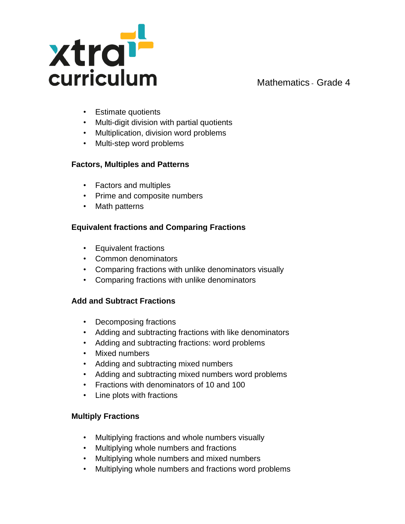

- Estimate quotients
- Multi-digit division with partial quotients
- Multiplication, division word problems
- Multi-step word problems

## **Factors, Multiples and Patterns**

- Factors and multiples
- Prime and composite numbers
- Math patterns

# **Equivalent fractions and Comparing Fractions**

- Equivalent fractions
- Common denominators
- Comparing fractions with unlike denominators visually
- Comparing fractions with unlike denominators

## **Add and Subtract Fractions**

- Decomposing fractions
- Adding and subtracting fractions with like denominators
- Adding and subtracting fractions: word problems
- Mixed numbers
- Adding and subtracting mixed numbers
- Adding and subtracting mixed numbers word problems
- Fractions with denominators of 10 and 100
- Line plots with fractions

## **Multiply Fractions**

- Multiplying fractions and whole numbers visually
- Multiplying whole numbers and fractions
- Multiplying whole numbers and mixed numbers
- Multiplying whole numbers and fractions word problems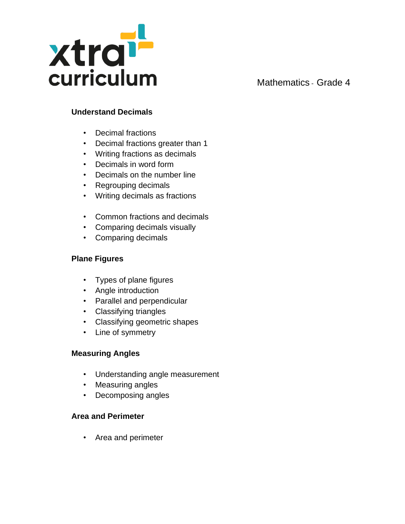

# **Understand Decimals**

- Decimal fractions
- Decimal fractions greater than 1
- Writing fractions as decimals
- Decimals in word form
- Decimals on the number line
- Regrouping decimals
- Writing decimals as fractions
- Common fractions and decimals
- Comparing decimals visually
- Comparing decimals

# **Plane Figures**

- Types of plane figures
- Angle introduction
- Parallel and perpendicular
- Classifying triangles
- Classifying geometric shapes
- Line of symmetry

## **Measuring Angles**

- Understanding angle measurement
- Measuring angles
- Decomposing angles

## **Area and Perimeter**

• Area and perimeter